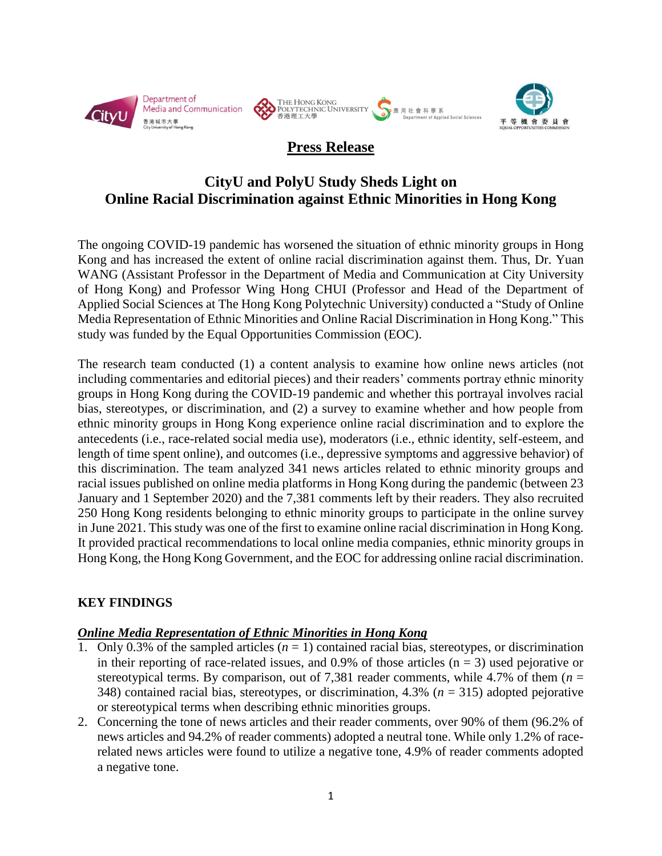



# **Press Release**

# **CityU and PolyU Study Sheds Light on Online Racial Discrimination against Ethnic Minorities in Hong Kong**

The ongoing COVID-19 pandemic has worsened the situation of ethnic minority groups in Hong Kong and has increased the extent of online racial discrimination against them. Thus, Dr. Yuan WANG (Assistant Professor in the Department of Media and Communication at City University of Hong Kong) and Professor Wing Hong CHUI (Professor and Head of the Department of Applied Social Sciences at The Hong Kong Polytechnic University) conducted a "Study of Online Media Representation of Ethnic Minorities and Online Racial Discrimination in Hong Kong." This study was funded by the Equal Opportunities Commission (EOC).

The research team conducted (1) a content analysis to examine how online news articles (not including commentaries and editorial pieces) and their readers' comments portray ethnic minority groups in Hong Kong during the COVID-19 pandemic and whether this portrayal involves racial bias, stereotypes, or discrimination, and (2) a survey to examine whether and how people from ethnic minority groups in Hong Kong experience online racial discrimination and to explore the antecedents (i.e., race-related social media use), moderators (i.e., ethnic identity, self-esteem, and length of time spent online), and outcomes (i.e., depressive symptoms and aggressive behavior) of this discrimination. The team analyzed 341 news articles related to ethnic minority groups and racial issues published on online media platforms in Hong Kong during the pandemic (between 23 January and 1 September 2020) and the 7,381 comments left by their readers. They also recruited 250 Hong Kong residents belonging to ethnic minority groups to participate in the online survey in June 2021. This study was one of the first to examine online racial discrimination in Hong Kong. It provided practical recommendations to local online media companies, ethnic minority groups in Hong Kong, the Hong Kong Government, and the EOC for addressing online racial discrimination.

# **KEY FINDINGS**

#### *Online Media Representation of Ethnic Minorities in Hong Kong*

- Only 0.3% of the sampled articles  $(n = 1)$  contained racial bias, stereotypes, or discrimination in their reporting of race-related issues, and 0.9% of those articles  $(n = 3)$  used pejorative or stereotypical terms. By comparison, out of 7,381 reader comments, while 4.7% of them  $(n =$ 348) contained racial bias, stereotypes, or discrimination, 4.3% (*n* = 315) adopted pejorative or stereotypical terms when describing ethnic minorities groups.
- 2. Concerning the tone of news articles and their reader comments, over 90% of them (96.2% of news articles and 94.2% of reader comments) adopted a neutral tone. While only 1.2% of racerelated news articles were found to utilize a negative tone, 4.9% of reader comments adopted a negative tone.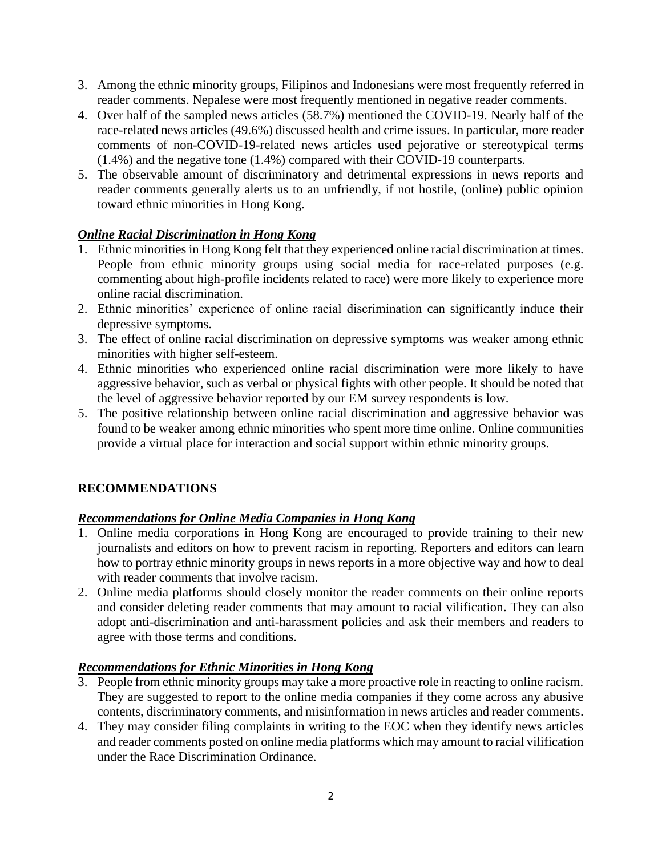- 3. Among the ethnic minority groups, Filipinos and Indonesians were most frequently referred in reader comments. Nepalese were most frequently mentioned in negative reader comments.
- 4. Over half of the sampled news articles (58.7%) mentioned the COVID-19. Nearly half of the race-related news articles (49.6%) discussed health and crime issues. In particular, more reader comments of non-COVID-19-related news articles used pejorative or stereotypical terms (1.4%) and the negative tone (1.4%) compared with their COVID-19 counterparts.
- 5. The observable amount of discriminatory and detrimental expressions in news reports and reader comments generally alerts us to an unfriendly, if not hostile, (online) public opinion toward ethnic minorities in Hong Kong.

### *Online Racial Discrimination in Hong Kong*

- 1. Ethnic minorities in Hong Kong felt that they experienced online racial discrimination at times. People from ethnic minority groups using social media for race-related purposes (e.g. commenting about high-profile incidents related to race) were more likely to experience more online racial discrimination.
- 2. Ethnic minorities' experience of online racial discrimination can significantly induce their depressive symptoms.
- 3. The effect of online racial discrimination on depressive symptoms was weaker among ethnic minorities with higher self-esteem.
- 4. Ethnic minorities who experienced online racial discrimination were more likely to have aggressive behavior, such as verbal or physical fights with other people. It should be noted that the level of aggressive behavior reported by our EM survey respondents is low.
- 5. The positive relationship between online racial discrimination and aggressive behavior was found to be weaker among ethnic minorities who spent more time online. Online communities provide a virtual place for interaction and social support within ethnic minority groups.

# **RECOMMENDATIONS**

# *Recommendations for Online Media Companies in Hong Kong*

- 1. Online media corporations in Hong Kong are encouraged to provide training to their new journalists and editors on how to prevent racism in reporting. Reporters and editors can learn how to portray ethnic minority groups in news reports in a more objective way and how to deal with reader comments that involve racism.
- 2. Online media platforms should closely monitor the reader comments on their online reports and consider deleting reader comments that may amount to racial vilification. They can also adopt anti-discrimination and anti-harassment policies and ask their members and readers to agree with those terms and conditions.

#### *Recommendations for Ethnic Minorities in Hong Kong*

- 3. People from ethnic minority groups may take a more proactive role in reacting to online racism. They are suggested to report to the online media companies if they come across any abusive contents, discriminatory comments, and misinformation in news articles and reader comments.
- 4. They may consider filing complaints in writing to the EOC when they identify news articles and reader comments posted on online media platforms which may amount to racial vilification under the Race Discrimination Ordinance.